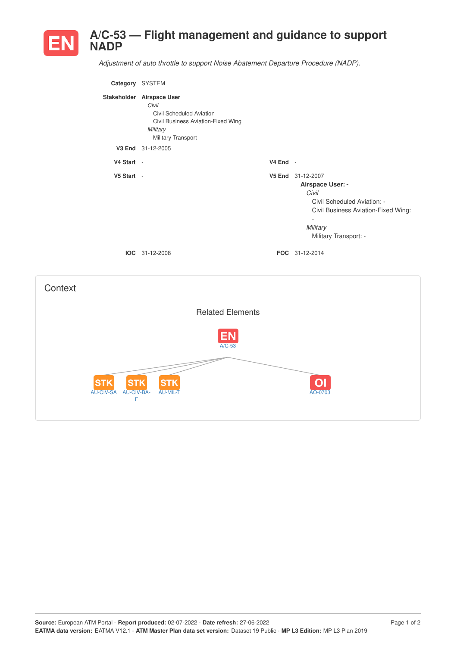

*Adjustment of auto throttle to support Noise Abatement Departure Procedure (NADP).*

| Category SYSTEM                               |                                                                                                                                        |          |                                                                                                                                                                                       |
|-----------------------------------------------|----------------------------------------------------------------------------------------------------------------------------------------|----------|---------------------------------------------------------------------------------------------------------------------------------------------------------------------------------------|
|                                               | Stakeholder Airspace User<br>Civil<br>Civil Scheduled Aviation<br>Civil Business Aviation-Fixed Wing<br>Military<br>Military Transport |          |                                                                                                                                                                                       |
|                                               | V3 End 31-12-2005                                                                                                                      |          |                                                                                                                                                                                       |
| V4 Start -                                    |                                                                                                                                        | V4 End - |                                                                                                                                                                                       |
| V5 Start -                                    | IOC 31-12-2008                                                                                                                         |          | V5 End 31-12-2007<br>Airspace User: -<br>Civil<br>Civil Scheduled Aviation: -<br>Civil Business Aviation-Fixed Wing:<br>$\Box$<br>Military<br>Military Transport: -<br>FOC 31-12-2014 |
| Context                                       |                                                                                                                                        |          |                                                                                                                                                                                       |
|                                               | <b>Related Elements</b>                                                                                                                |          |                                                                                                                                                                                       |
|                                               | $A/C-53$                                                                                                                               |          |                                                                                                                                                                                       |
| <b>STK</b><br>SП<br>AU-CIV-SA AU-CIV-BA-<br>F | S<br>AU-MIL-T                                                                                                                          |          | AO-0703                                                                                                                                                                               |